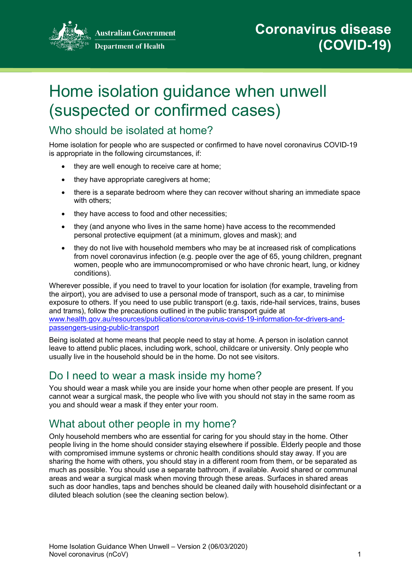

**Australian Government Department of Health** 

# Home isolation guidance when unwell (suspected or confirmed cases)

## Who should be isolated at home?

Home isolation for people who are suspected or confirmed to have novel coronavirus COVID-19 is appropriate in the following circumstances, if:

- they are well enough to receive care at home;
- they have appropriate caregivers at home:
- there is a separate bedroom where they can recover without sharing an immediate space with others;
- they have access to food and other necessities;
- they (and anyone who lives in the same home) have access to the recommended personal protective equipment (at a minimum, gloves and mask); and
- they do not live with household members who may be at increased risk of complications from novel coronavirus infection (e.g. people over the age of 65, young children, pregnant women, people who are immunocompromised or who have chronic heart, lung, or kidney conditions).

Wherever possible, if you need to travel to your location for isolation (for example, traveling from the airport), you are advised to use a personal mode of transport, such as a car, to minimise exposure to others. If you need to use public transport (e.g. taxis, ride-hail services, trains, buses and trams), follow the precautions outlined in the public transport guide at [www.health.gov.au/resources/publications/coronavirus-covid-19-information-for-drivers-and](https://www.health.gov.au/resources/publications/coronavirus-covid-19-information-for-drivers-and-passengers-using-public-transport)[passengers-using-public-transport](https://www.health.gov.au/resources/publications/coronavirus-covid-19-information-for-drivers-and-passengers-using-public-transport)

Being isolated at home means that people need to stay at home. A person in isolation cannot leave to attend public places, including work, school, childcare or university. Only people who usually live in the household should be in the home. Do not see visitors.

# Do I need to wear a mask inside my home?

You should wear a mask while you are inside your home when other people are present. If you cannot wear a surgical mask, the people who live with you should not stay in the same room as you and should wear a mask if they enter your room.

# What about other people in my home?

Only household members who are essential for caring for you should stay in the home. Other people living in the home should consider staying elsewhere if possible. Elderly people and those with compromised immune systems or chronic health conditions should stay away. If you are sharing the home with others, you should stay in a different room from them, or be separated as much as possible. You should use a separate bathroom, if available. Avoid shared or communal areas and wear a surgical mask when moving through these areas. Surfaces in shared areas such as door handles, taps and benches should be cleaned daily with household disinfectant or a diluted bleach solution (see the cleaning section below).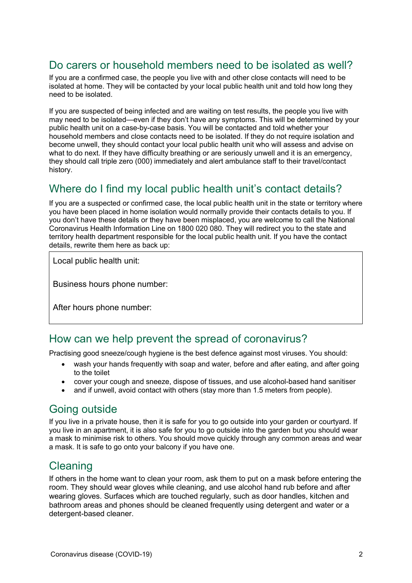## Do carers or household members need to be isolated as well?

If you are a confirmed case, the people you live with and other close contacts will need to be isolated at home. They will be contacted by your local public health unit and told how long they need to be isolated.

If you are suspected of being infected and are waiting on test results, the people you live with may need to be isolated—even if they don't have any symptoms. This will be determined by your public health unit on a case-by-case basis. You will be contacted and told whether your household members and close contacts need to be isolated. If they do not require isolation and become unwell, they should contact your local public health unit who will assess and advise on what to do next. If they have difficulty breathing or are seriously unwell and it is an emergency, they should call triple zero (000) immediately and alert ambulance staff to their travel/contact history.

# Where do I find my local public health unit's contact details?

If you are a suspected or confirmed case, the local public health unit in the state or territory where you have been placed in home isolation would normally provide their contacts details to you. If you don't have these details or they have been misplaced, you are welcome to call the National Coronavirus Health Information Line on 1800 020 080. They will redirect you to the state and territory health department responsible for the local public health unit. If you have the contact details, rewrite them here as back up:

Local public health unit:

Business hours phone number:

After hours phone number:

#### How can we help prevent the spread of coronavirus?

Practising good sneeze/cough hygiene is the best defence against most viruses. You should:

- wash your hands frequently with soap and water, before and after eating, and after going to the toilet
- cover your cough and sneeze, dispose of tissues, and use alcohol-based hand sanitiser
- and if unwell, avoid contact with others (stay more than 1.5 meters from people).

### Going outside

If you live in a private house, then it is safe for you to go outside into your garden or courtyard. If you live in an apartment, it is also safe for you to go outside into the garden but you should wear a mask to minimise risk to others. You should move quickly through any common areas and wear a mask. It is safe to go onto your balcony if you have one.

# **Cleaning**

If others in the home want to clean your room, ask them to put on a mask before entering the room. They should wear gloves while cleaning, and use alcohol hand rub before and after wearing gloves. Surfaces which are touched regularly, such as door handles, kitchen and bathroom areas and phones should be cleaned frequently using detergent and water or a detergent-based cleaner.